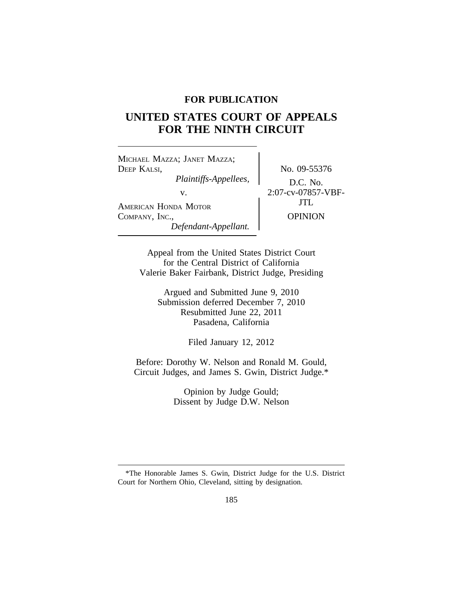# **FOR PUBLICATION**

# **UNITED STATES COURT OF APPEALS FOR THE NINTH CIRCUIT**

<sup>M</sup>ICHAEL MAZZA; JANET MAZZA; DEEP KALSI, No. 09-55376 *Plaintiffs-Appellees,* D.C. No. AMERICAN HONDA MOTOR COMPANY, INC., OPINION *Defendant-Appellant.*

v.  $2:07$ -cv-07857-VBF-<br> $\text{JTL}$ 

Appeal from the United States District Court for the Central District of California Valerie Baker Fairbank, District Judge, Presiding

> Argued and Submitted June 9, 2010 Submission deferred December 7, 2010 Resubmitted June 22, 2011 Pasadena, California

> > Filed January 12, 2012

Before: Dorothy W. Nelson and Ronald M. Gould, Circuit Judges, and James S. Gwin, District Judge.\*

> Opinion by Judge Gould; Dissent by Judge D.W. Nelson

<sup>\*</sup>The Honorable James S. Gwin, District Judge for the U.S. District Court for Northern Ohio, Cleveland, sitting by designation.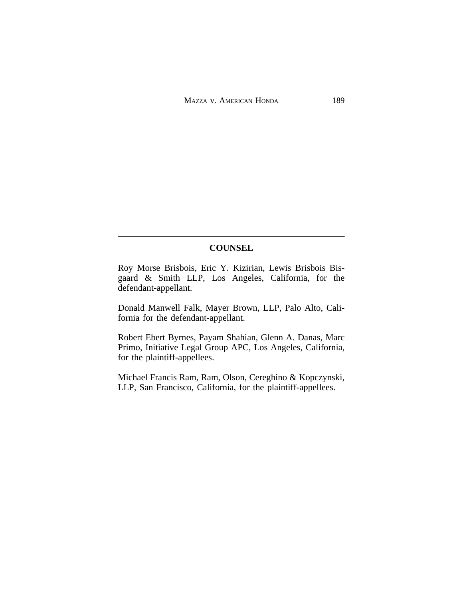# **COUNSEL**

Roy Morse Brisbois, Eric Y. Kizirian, Lewis Brisbois Bisgaard & Smith LLP, Los Angeles, California, for the defendant-appellant.

Donald Manwell Falk, Mayer Brown, LLP, Palo Alto, California for the defendant-appellant.

Robert Ebert Byrnes, Payam Shahian, Glenn A. Danas, Marc Primo, Initiative Legal Group APC, Los Angeles, California, for the plaintiff-appellees.

Michael Francis Ram, Ram, Olson, Cereghino & Kopczynski, LLP, San Francisco, California, for the plaintiff-appellees.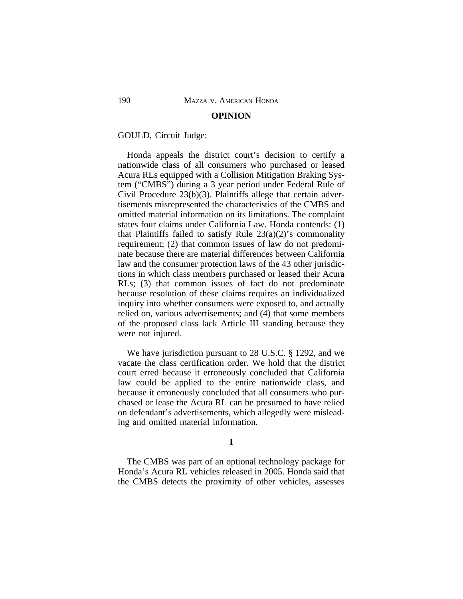#### **OPINION**

GOULD, Circuit Judge:

Honda appeals the district court's decision to certify a nationwide class of all consumers who purchased or leased Acura RLs equipped with a Collision Mitigation Braking System ("CMBS") during a 3 year period under Federal Rule of Civil Procedure 23(b)(3). Plaintiffs allege that certain advertisements misrepresented the characteristics of the CMBS and omitted material information on its limitations. The complaint states four claims under California Law. Honda contends: (1) that Plaintiffs failed to satisfy Rule  $23(a)(2)$ 's commonality requirement; (2) that common issues of law do not predominate because there are material differences between California law and the consumer protection laws of the 43 other jurisdictions in which class members purchased or leased their Acura RLs; (3) that common issues of fact do not predominate because resolution of these claims requires an individualized inquiry into whether consumers were exposed to, and actually relied on, various advertisements; and (4) that some members of the proposed class lack Article III standing because they were not injured.

We have jurisdiction pursuant to 28 U.S.C. § 1292, and we vacate the class certification order. We hold that the district court erred because it erroneously concluded that California law could be applied to the entire nationwide class, and because it erroneously concluded that all consumers who purchased or lease the Acura RL can be presumed to have relied on defendant's advertisements, which allegedly were misleading and omitted material information.

#### **I**

The CMBS was part of an optional technology package for Honda's Acura RL vehicles released in 2005. Honda said that the CMBS detects the proximity of other vehicles, assesses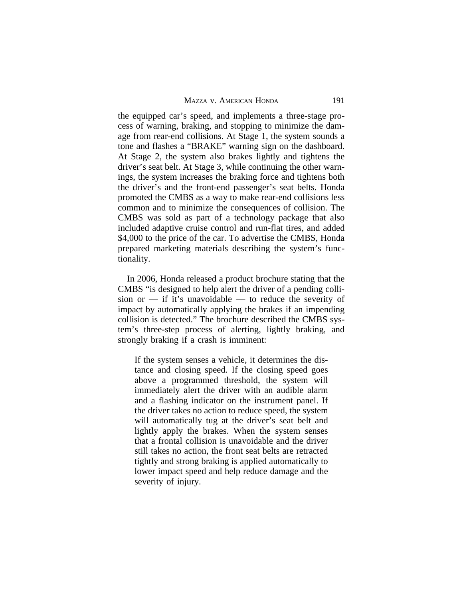the equipped car's speed, and implements a three-stage process of warning, braking, and stopping to minimize the damage from rear-end collisions. At Stage 1, the system sounds a tone and flashes a "BRAKE" warning sign on the dashboard. At Stage 2, the system also brakes lightly and tightens the driver's seat belt. At Stage 3, while continuing the other warnings, the system increases the braking force and tightens both the driver's and the front-end passenger's seat belts. Honda promoted the CMBS as a way to make rear-end collisions less common and to minimize the consequences of collision. The CMBS was sold as part of a technology package that also included adaptive cruise control and run-flat tires, and added \$4,000 to the price of the car. To advertise the CMBS, Honda prepared marketing materials describing the system's functionality.

In 2006, Honda released a product brochure stating that the CMBS "is designed to help alert the driver of a pending collision or  $-$  if it's unavoidable  $-$  to reduce the severity of impact by automatically applying the brakes if an impending collision is detected." The brochure described the CMBS system's three-step process of alerting, lightly braking, and strongly braking if a crash is imminent:

If the system senses a vehicle, it determines the distance and closing speed. If the closing speed goes above a programmed threshold, the system will immediately alert the driver with an audible alarm and a flashing indicator on the instrument panel. If the driver takes no action to reduce speed, the system will automatically tug at the driver's seat belt and lightly apply the brakes. When the system senses that a frontal collision is unavoidable and the driver still takes no action, the front seat belts are retracted tightly and strong braking is applied automatically to lower impact speed and help reduce damage and the severity of injury.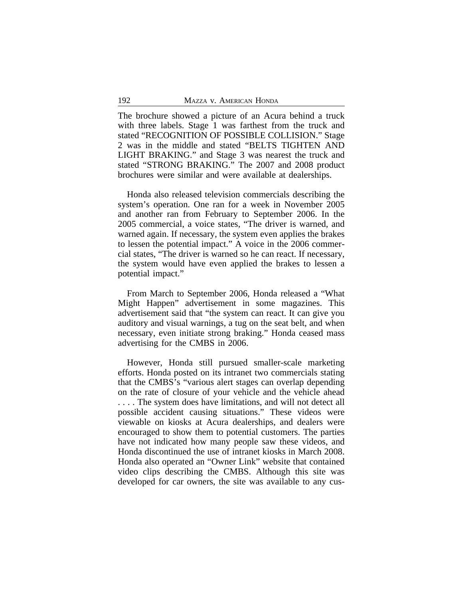The brochure showed a picture of an Acura behind a truck with three labels. Stage 1 was farthest from the truck and stated "RECOGNITION OF POSSIBLE COLLISION." Stage 2 was in the middle and stated "BELTS TIGHTEN AND LIGHT BRAKING." and Stage 3 was nearest the truck and stated "STRONG BRAKING." The 2007 and 2008 product brochures were similar and were available at dealerships.

Honda also released television commercials describing the system's operation. One ran for a week in November 2005 and another ran from February to September 2006. In the 2005 commercial, a voice states, "The driver is warned, and warned again. If necessary, the system even applies the brakes to lessen the potential impact." A voice in the 2006 commercial states, "The driver is warned so he can react. If necessary, the system would have even applied the brakes to lessen a potential impact."

From March to September 2006, Honda released a "What Might Happen" advertisement in some magazines. This advertisement said that "the system can react. It can give you auditory and visual warnings, a tug on the seat belt, and when necessary, even initiate strong braking." Honda ceased mass advertising for the CMBS in 2006.

However, Honda still pursued smaller-scale marketing efforts. Honda posted on its intranet two commercials stating that the CMBS's "various alert stages can overlap depending on the rate of closure of your vehicle and the vehicle ahead . . . . The system does have limitations, and will not detect all possible accident causing situations." These videos were viewable on kiosks at Acura dealerships, and dealers were encouraged to show them to potential customers. The parties have not indicated how many people saw these videos, and Honda discontinued the use of intranet kiosks in March 2008. Honda also operated an "Owner Link" website that contained video clips describing the CMBS. Although this site was developed for car owners, the site was available to any cus-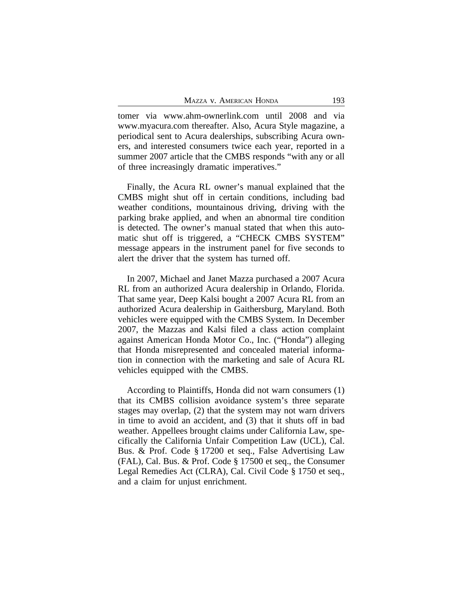tomer via www.ahm-ownerlink.com until 2008 and via www.myacura.com thereafter. Also, Acura Style magazine, a periodical sent to Acura dealerships, subscribing Acura owners, and interested consumers twice each year, reported in a summer 2007 article that the CMBS responds "with any or all of three increasingly dramatic imperatives."

Finally, the Acura RL owner's manual explained that the CMBS might shut off in certain conditions, including bad weather conditions, mountainous driving, driving with the parking brake applied, and when an abnormal tire condition is detected. The owner's manual stated that when this automatic shut off is triggered, a "CHECK CMBS SYSTEM" message appears in the instrument panel for five seconds to alert the driver that the system has turned off.

In 2007, Michael and Janet Mazza purchased a 2007 Acura RL from an authorized Acura dealership in Orlando, Florida. That same year, Deep Kalsi bought a 2007 Acura RL from an authorized Acura dealership in Gaithersburg, Maryland. Both vehicles were equipped with the CMBS System. In December 2007, the Mazzas and Kalsi filed a class action complaint against American Honda Motor Co., Inc. ("Honda") alleging that Honda misrepresented and concealed material information in connection with the marketing and sale of Acura RL vehicles equipped with the CMBS.

According to Plaintiffs, Honda did not warn consumers (1) that its CMBS collision avoidance system's three separate stages may overlap, (2) that the system may not warn drivers in time to avoid an accident, and (3) that it shuts off in bad weather. Appellees brought claims under California Law, specifically the California Unfair Competition Law (UCL), Cal. Bus. & Prof. Code § 17200 et seq., False Advertising Law (FAL), Cal. Bus. & Prof. Code § 17500 et seq., the Consumer Legal Remedies Act (CLRA), Cal. Civil Code § 1750 et seq., and a claim for unjust enrichment.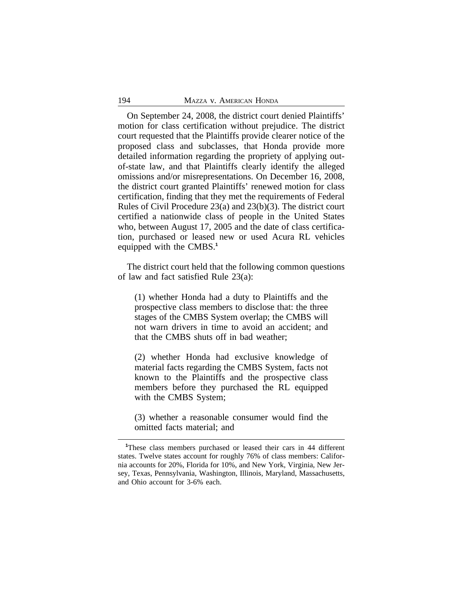On September 24, 2008, the district court denied Plaintiffs' motion for class certification without prejudice. The district court requested that the Plaintiffs provide clearer notice of the proposed class and subclasses, that Honda provide more detailed information regarding the propriety of applying outof-state law, and that Plaintiffs clearly identify the alleged omissions and/or misrepresentations. On December 16, 2008, the district court granted Plaintiffs' renewed motion for class certification, finding that they met the requirements of Federal Rules of Civil Procedure 23(a) and 23(b)(3). The district court certified a nationwide class of people in the United States who, between August 17, 2005 and the date of class certification, purchased or leased new or used Acura RL vehicles equipped with the CMBS.**<sup>1</sup>**

The district court held that the following common questions of law and fact satisfied Rule 23(a):

(1) whether Honda had a duty to Plaintiffs and the prospective class members to disclose that: the three stages of the CMBS System overlap; the CMBS will not warn drivers in time to avoid an accident; and that the CMBS shuts off in bad weather;

(2) whether Honda had exclusive knowledge of material facts regarding the CMBS System, facts not known to the Plaintiffs and the prospective class members before they purchased the RL equipped with the CMBS System;

(3) whether a reasonable consumer would find the omitted facts material; and

**<sup>1</sup>**These class members purchased or leased their cars in 44 different states. Twelve states account for roughly 76% of class members: California accounts for 20%, Florida for 10%, and New York, Virginia, New Jersey, Texas, Pennsylvania, Washington, Illinois, Maryland, Massachusetts, and Ohio account for 3-6% each.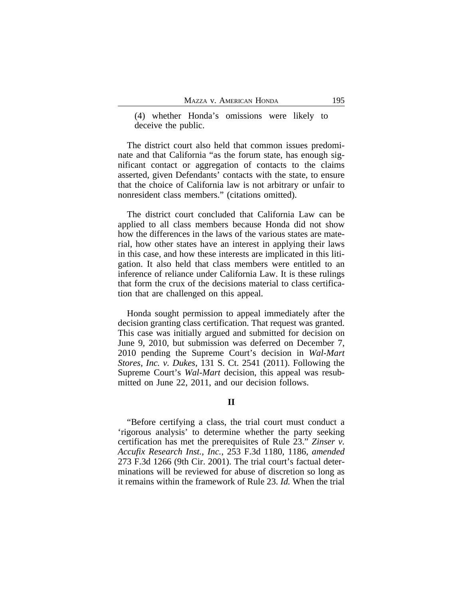(4) whether Honda's omissions were likely to deceive the public.

The district court also held that common issues predominate and that California "as the forum state, has enough significant contact or aggregation of contacts to the claims asserted, given Defendants' contacts with the state, to ensure that the choice of California law is not arbitrary or unfair to nonresident class members." (citations omitted).

The district court concluded that California Law can be applied to all class members because Honda did not show how the differences in the laws of the various states are material, how other states have an interest in applying their laws in this case, and how these interests are implicated in this litigation. It also held that class members were entitled to an inference of reliance under California Law. It is these rulings that form the crux of the decisions material to class certification that are challenged on this appeal.

Honda sought permission to appeal immediately after the decision granting class certification. That request was granted. This case was initially argued and submitted for decision on June 9, 2010, but submission was deferred on December 7, 2010 pending the Supreme Court's decision in *Wal-Mart Stores, Inc. v. Dukes*, 131 S. Ct. 2541 (2011). Following the Supreme Court's *Wal-Mart* decision, this appeal was resubmitted on June 22, 2011, and our decision follows.

## **II**

"Before certifying a class, the trial court must conduct a 'rigorous analysis' to determine whether the party seeking certification has met the prerequisites of Rule 23." *Zinser v. Accufix Research Inst., Inc.*, 253 F.3d 1180, 1186, *amended* 273 F.3d 1266 (9th Cir. 2001). The trial court's factual determinations will be reviewed for abuse of discretion so long as it remains within the framework of Rule 23. *Id.* When the trial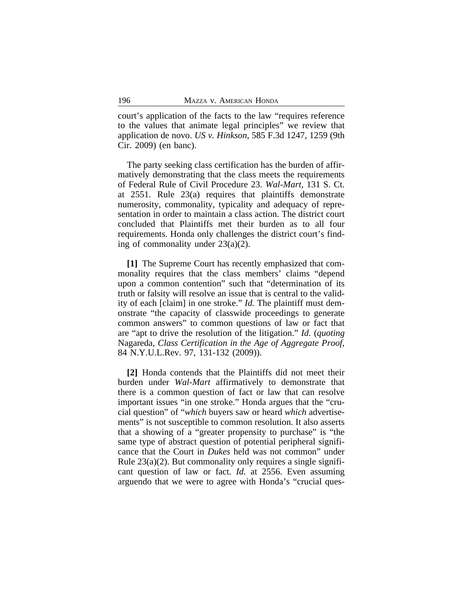court's application of the facts to the law "requires reference to the values that animate legal principles" we review that application de novo. *US v. Hinkson*, 585 F.3d 1247, 1259 (9th Cir. 2009) (en banc).

The party seeking class certification has the burden of affirmatively demonstrating that the class meets the requirements of Federal Rule of Civil Procedure 23. *Wal-Mart,* 131 S. Ct. at 2551. Rule 23(a) requires that plaintiffs demonstrate numerosity, commonality, typicality and adequacy of representation in order to maintain a class action. The district court concluded that Plaintiffs met their burden as to all four requirements. Honda only challenges the district court's finding of commonality under 23(a)(2).

**[1]** The Supreme Court has recently emphasized that commonality requires that the class members' claims "depend upon a common contention" such that "determination of its truth or falsity will resolve an issue that is central to the validity of each [claim] in one stroke." *Id.* The plaintiff must demonstrate "the capacity of classwide proceedings to generate common answers" to common questions of law or fact that are "apt to drive the resolution of the litigation." *Id.* (*quoting* Nagareda, *Class Certification in the Age of Aggregate Proof*, 84 N.Y.U.L.Rev. 97, 131-132 (2009)).

**[2]** Honda contends that the Plaintiffs did not meet their burden under *Wal-Mart* affirmatively to demonstrate that there is a common question of fact or law that can resolve important issues "in one stroke." Honda argues that the "crucial question" of "*which* buyers saw or heard *which* advertisements" is not susceptible to common resolution. It also asserts that a showing of a "greater propensity to purchase" is "the same type of abstract question of potential peripheral significance that the Court in *Dukes* held was not common" under Rule 23(a)(2). But commonality only requires a single significant question of law or fact. *Id.* at 2556. Even assuming arguendo that we were to agree with Honda's "crucial ques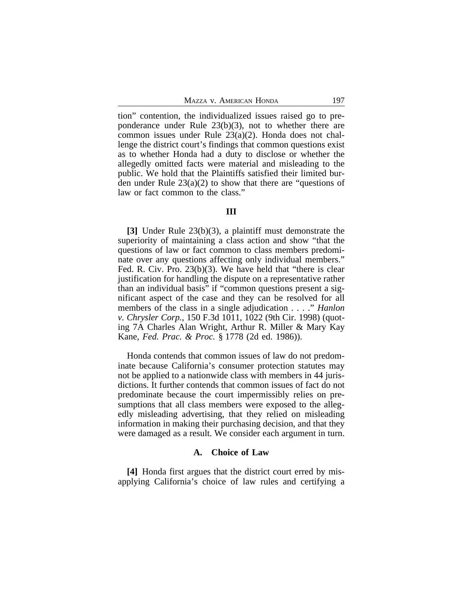tion" contention, the individualized issues raised go to preponderance under Rule 23(b)(3), not to whether there are common issues under Rule 23(a)(2). Honda does not challenge the district court's findings that common questions exist as to whether Honda had a duty to disclose or whether the allegedly omitted facts were material and misleading to the public. We hold that the Plaintiffs satisfied their limited burden under Rule 23(a)(2) to show that there are "questions of law or fact common to the class."

## **III**

**[3]** Under Rule 23(b)(3), a plaintiff must demonstrate the superiority of maintaining a class action and show "that the questions of law or fact common to class members predominate over any questions affecting only individual members." Fed. R. Civ. Pro. 23(b)(3). We have held that "there is clear justification for handling the dispute on a representative rather than an individual basis" if "common questions present a significant aspect of the case and they can be resolved for all members of the class in a single adjudication . . . ." *Hanlon v. Chrysler Corp.*, 150 F.3d 1011, 1022 (9th Cir. 1998) (quoting 7A Charles Alan Wright, Arthur R. Miller & Mary Kay Kane, *Fed. Prac. & Proc.* § 1778 (2d ed. 1986)).

Honda contends that common issues of law do not predominate because California's consumer protection statutes may not be applied to a nationwide class with members in 44 jurisdictions. It further contends that common issues of fact do not predominate because the court impermissibly relies on presumptions that all class members were exposed to the allegedly misleading advertising, that they relied on misleading information in making their purchasing decision, and that they were damaged as a result. We consider each argument in turn.

#### **A. Choice of Law**

**[4]** Honda first argues that the district court erred by misapplying California's choice of law rules and certifying a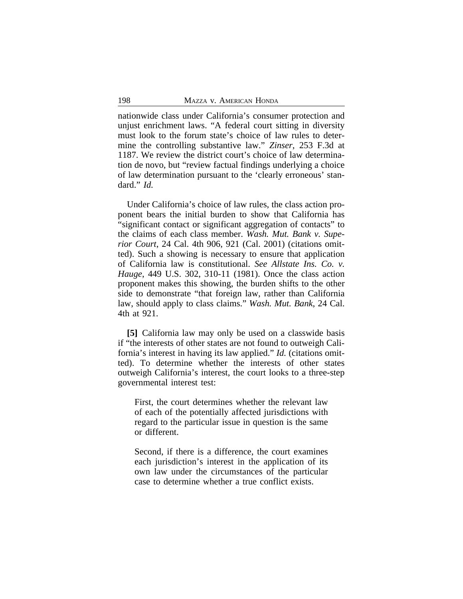nationwide class under California's consumer protection and unjust enrichment laws. "A federal court sitting in diversity must look to the forum state's choice of law rules to determine the controlling substantive law." *Zinser*, 253 F.3d at 1187. We review the district court's choice of law determination de novo, but "review factual findings underlying a choice of law determination pursuant to the 'clearly erroneous' standard." *Id.*

Under California's choice of law rules, the class action proponent bears the initial burden to show that California has "significant contact or significant aggregation of contacts" to the claims of each class member. *Wash. Mut. Bank v. Superior Court*, 24 Cal. 4th 906, 921 (Cal. 2001) (citations omitted). Such a showing is necessary to ensure that application of California law is constitutional. *See Allstate Ins. Co. v. Hauge*, 449 U.S. 302, 310-11 (1981). Once the class action proponent makes this showing, the burden shifts to the other side to demonstrate "that foreign law, rather than California law, should apply to class claims." *Wash. Mut. Bank*, 24 Cal. 4th at 921.

**[5]** California law may only be used on a classwide basis if "the interests of other states are not found to outweigh California's interest in having its law applied." *Id.* (citations omitted). To determine whether the interests of other states outweigh California's interest, the court looks to a three-step governmental interest test:

First, the court determines whether the relevant law of each of the potentially affected jurisdictions with regard to the particular issue in question is the same or different.

Second, if there is a difference, the court examines each jurisdiction's interest in the application of its own law under the circumstances of the particular case to determine whether a true conflict exists.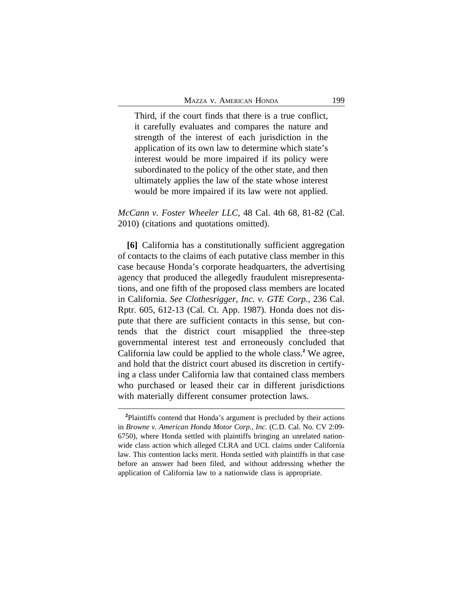Third, if the court finds that there is a true conflict, it carefully evaluates and compares the nature and strength of the interest of each jurisdiction in the application of its own law to determine which state's interest would be more impaired if its policy were subordinated to the policy of the other state, and then ultimately applies the law of the state whose interest would be more impaired if its law were not applied.

*McCann v. Foster Wheeler LLC*, 48 Cal. 4th 68, 81-82 (Cal. 2010) (citations and quotations omitted).

**[6]** California has a constitutionally sufficient aggregation of contacts to the claims of each putative class member in this case because Honda's corporate headquarters, the advertising agency that produced the allegedly fraudulent misrepresentations, and one fifth of the proposed class members are located in California. *See Clothesrigger, Inc. v. GTE Corp.*, 236 Cal. Rptr. 605, 612-13 (Cal. Ct. App. 1987). Honda does not dispute that there are sufficient contacts in this sense, but contends that the district court misapplied the three-step governmental interest test and erroneously concluded that California law could be applied to the whole class.**<sup>2</sup>** We agree, and hold that the district court abused its discretion in certifying a class under California law that contained class members who purchased or leased their car in different jurisdictions with materially different consumer protection laws.

**<sup>2</sup>**Plaintiffs contend that Honda's argument is precluded by their actions in *Browne v. American Honda Motor Corp., Inc.* (C.D. Cal. No. CV 2:09- 6750), where Honda settled with plaintiffs bringing an unrelated nationwide class action which alleged CLRA and UCL claims under California law. This contention lacks merit. Honda settled with plaintiffs in that case before an answer had been filed, and without addressing whether the application of California law to a nationwide class is appropriate.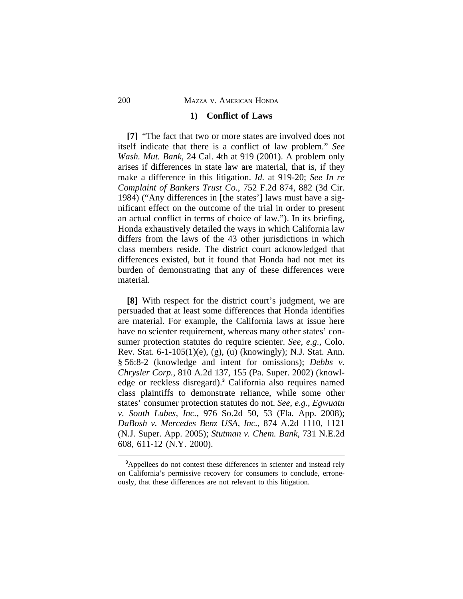#### **1) Conflict of Laws**

**[7]** "The fact that two or more states are involved does not itself indicate that there is a conflict of law problem." *See Wash. Mut. Bank,* 24 Cal. 4th at 919 (2001). A problem only arises if differences in state law are material, that is, if they make a difference in this litigation. *Id.* at 919-20; *See In re Complaint of Bankers Trust Co.*, 752 F.2d 874, 882 (3d Cir. 1984) ("Any differences in [the states'] laws must have a significant effect on the outcome of the trial in order to present an actual conflict in terms of choice of law."). In its briefing, Honda exhaustively detailed the ways in which California law differs from the laws of the 43 other jurisdictions in which class members reside. The district court acknowledged that differences existed, but it found that Honda had not met its burden of demonstrating that any of these differences were material.

**[8]** With respect for the district court's judgment, we are persuaded that at least some differences that Honda identifies are material. For example, the California laws at issue here have no scienter requirement, whereas many other states' consumer protection statutes do require scienter. *See, e.g.*, Colo. Rev. Stat. 6-1-105(1)(e), (g), (u) (knowingly); N.J. Stat. Ann. § 56:8-2 (knowledge and intent for omissions); *Debbs v. Chrysler Corp.*, 810 A.2d 137, 155 (Pa. Super. 2002) (knowledge or reckless disregard).**<sup>3</sup>** California also requires named class plaintiffs to demonstrate reliance, while some other states' consumer protection statutes do not. *See, e.g.*, *Egwuatu v. South Lubes, Inc.*, 976 So.2d 50, 53 (Fla. App. 2008); *DaBosh v. Mercedes Benz USA, Inc.*, 874 A.2d 1110, 1121 (N.J. Super. App. 2005); *Stutman v. Chem. Bank*, 731 N.E.2d 608, 611-12 (N.Y. 2000).

**<sup>3</sup>**Appellees do not contest these differences in scienter and instead rely on California's permissive recovery for consumers to conclude, erroneously, that these differences are not relevant to this litigation.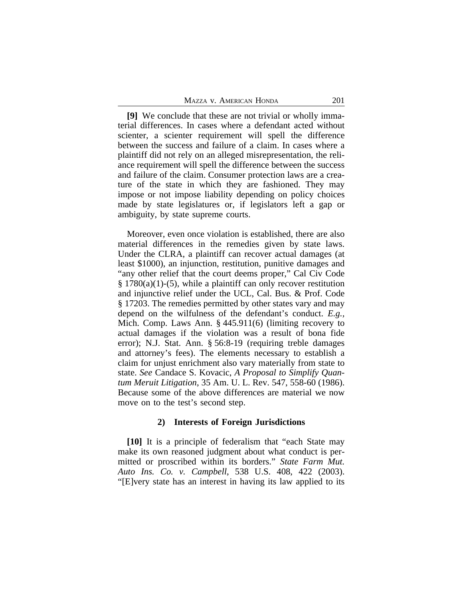**[9]** We conclude that these are not trivial or wholly immaterial differences. In cases where a defendant acted without scienter, a scienter requirement will spell the difference between the success and failure of a claim. In cases where a plaintiff did not rely on an alleged misrepresentation, the reliance requirement will spell the difference between the success and failure of the claim. Consumer protection laws are a creature of the state in which they are fashioned. They may impose or not impose liability depending on policy choices made by state legislatures or, if legislators left a gap or ambiguity, by state supreme courts.

Moreover, even once violation is established, there are also material differences in the remedies given by state laws. Under the CLRA, a plaintiff can recover actual damages (at least \$1000), an injunction, restitution, punitive damages and "any other relief that the court deems proper," Cal Civ Code § 1780(a)(1)-(5), while a plaintiff can only recover restitution and injunctive relief under the UCL, Cal. Bus. & Prof. Code § 17203. The remedies permitted by other states vary and may depend on the wilfulness of the defendant's conduct. *E.g.,* Mich. Comp. Laws Ann. § 445.911(6) (limiting recovery to actual damages if the violation was a result of bona fide error); N.J. Stat. Ann. § 56:8-19 (requiring treble damages and attorney's fees). The elements necessary to establish a claim for unjust enrichment also vary materially from state to state. *See* Candace S. Kovacic, *A Proposal to Simplify Quantum Meruit Litigation*, 35 Am. U. L. Rev. 547, 558-60 (1986). Because some of the above differences are material we now move on to the test's second step.

# **2) Interests of Foreign Jurisdictions**

**[10]** It is a principle of federalism that "each State may make its own reasoned judgment about what conduct is permitted or proscribed within its borders." *State Farm Mut. Auto Ins. Co. v. Campbell*, 538 U.S. 408, 422 (2003). "[E]very state has an interest in having its law applied to its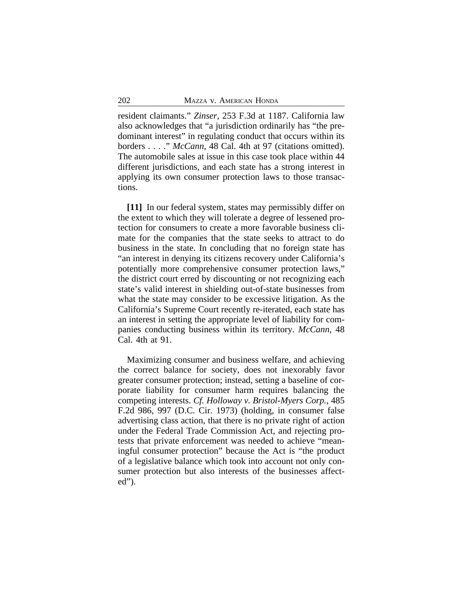resident claimants." *Zinser*, 253 F.3d at 1187. California law also acknowledges that "a jurisdiction ordinarily has "the predominant interest" in regulating conduct that occurs within its borders . . . ." *McCann*, 48 Cal. 4th at 97 (citations omitted). The automobile sales at issue in this case took place within 44 different jurisdictions, and each state has a strong interest in applying its own consumer protection laws to those transactions.

**[11]** In our federal system, states may permissibly differ on the extent to which they will tolerate a degree of lessened protection for consumers to create a more favorable business climate for the companies that the state seeks to attract to do business in the state. In concluding that no foreign state has "an interest in denying its citizens recovery under California's potentially more comprehensive consumer protection laws," the district court erred by discounting or not recognizing each state's valid interest in shielding out-of-state businesses from what the state may consider to be excessive litigation. As the California's Supreme Court recently re-iterated, each state has an interest in setting the appropriate level of liability for companies conducting business within its territory. *McCann*, 48 Cal. 4th at 91.

Maximizing consumer and business welfare, and achieving the correct balance for society, does not inexorably favor greater consumer protection; instead, setting a baseline of corporate liability for consumer harm requires balancing the competing interests. *Cf. Holloway v. Bristol-Myers Corp.*, 485 F.2d 986, 997 (D.C. Cir. 1973) (holding, in consumer false advertising class action, that there is no private right of action under the Federal Trade Commission Act, and rejecting protests that private enforcement was needed to achieve "meaningful consumer protection" because the Act is "the product of a legislative balance which took into account not only consumer protection but also interests of the businesses affected").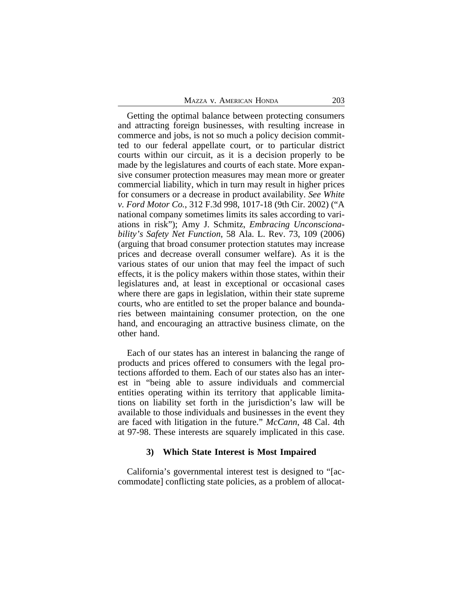Getting the optimal balance between protecting consumers and attracting foreign businesses, with resulting increase in commerce and jobs, is not so much a policy decision committed to our federal appellate court, or to particular district courts within our circuit, as it is a decision properly to be made by the legislatures and courts of each state. More expansive consumer protection measures may mean more or greater commercial liability, which in turn may result in higher prices for consumers or a decrease in product availability. *See White v. Ford Motor Co.*, 312 F.3d 998, 1017-18 (9th Cir. 2002) ("A national company sometimes limits its sales according to variations in risk"); Amy J. Schmitz, *Embracing Unconscionability's Safety Net Function*, 58 Ala. L. Rev. 73, 109 (2006) (arguing that broad consumer protection statutes may increase prices and decrease overall consumer welfare). As it is the various states of our union that may feel the impact of such effects, it is the policy makers within those states, within their legislatures and, at least in exceptional or occasional cases where there are gaps in legislation, within their state supreme courts, who are entitled to set the proper balance and boundaries between maintaining consumer protection, on the one hand, and encouraging an attractive business climate, on the other hand.

Each of our states has an interest in balancing the range of products and prices offered to consumers with the legal protections afforded to them. Each of our states also has an interest in "being able to assure individuals and commercial entities operating within its territory that applicable limitations on liability set forth in the jurisdiction's law will be available to those individuals and businesses in the event they are faced with litigation in the future." *McCann*, 48 Cal. 4th at 97-98. These interests are squarely implicated in this case.

#### **3) Which State Interest is Most Impaired**

California's governmental interest test is designed to "[accommodate] conflicting state policies, as a problem of allocat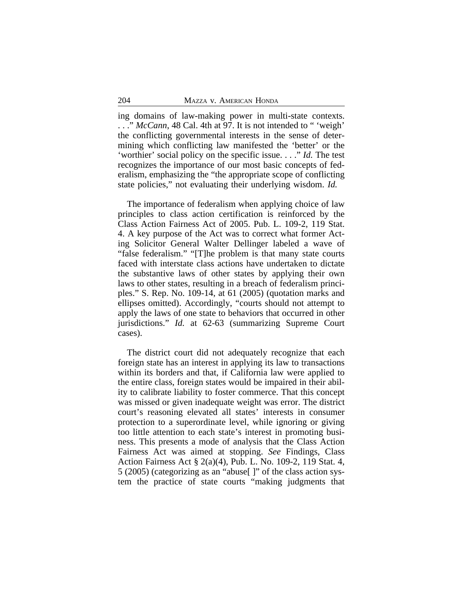ing domains of law-making power in multi-state contexts. ..." *McCann*, 48 Cal. 4th at 97. It is not intended to "veigh' the conflicting governmental interests in the sense of determining which conflicting law manifested the 'better' or the 'worthier' social policy on the specific issue. . . ." *Id.* The test recognizes the importance of our most basic concepts of federalism, emphasizing the "the appropriate scope of conflicting state policies," not evaluating their underlying wisdom. *Id.*

The importance of federalism when applying choice of law principles to class action certification is reinforced by the Class Action Fairness Act of 2005. Pub. L. 109-2, 119 Stat. 4. A key purpose of the Act was to correct what former Acting Solicitor General Walter Dellinger labeled a wave of "false federalism." "[T]he problem is that many state courts faced with interstate class actions have undertaken to dictate the substantive laws of other states by applying their own laws to other states, resulting in a breach of federalism principles." S. Rep. No. 109-14, at 61 (2005) (quotation marks and ellipses omitted). Accordingly, "courts should not attempt to apply the laws of one state to behaviors that occurred in other jurisdictions." *Id.* at 62-63 (summarizing Supreme Court cases).

The district court did not adequately recognize that each foreign state has an interest in applying its law to transactions within its borders and that, if California law were applied to the entire class, foreign states would be impaired in their ability to calibrate liability to foster commerce. That this concept was missed or given inadequate weight was error. The district court's reasoning elevated all states' interests in consumer protection to a superordinate level, while ignoring or giving too little attention to each state's interest in promoting business. This presents a mode of analysis that the Class Action Fairness Act was aimed at stopping. *See* Findings, Class Action Fairness Act § 2(a)(4), Pub. L. No. 109-2, 119 Stat. 4, 5 (2005) (categorizing as an "abuse[ ]" of the class action system the practice of state courts "making judgments that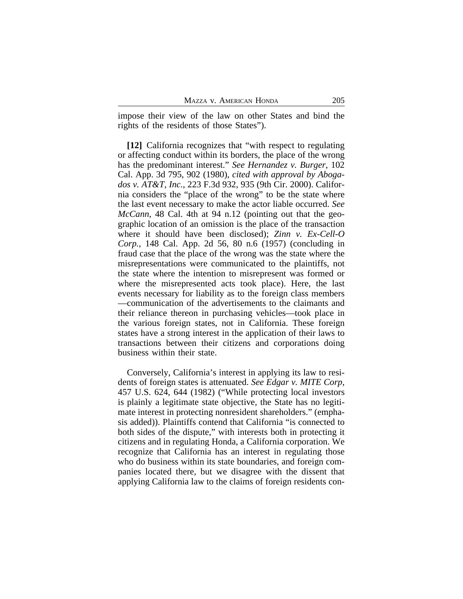impose their view of the law on other States and bind the rights of the residents of those States").

**[12]** California recognizes that "with respect to regulating or affecting conduct within its borders, the place of the wrong has the predominant interest." *See Hernandez v. Burger*, 102 Cal. App. 3d 795, 902 (1980), *cited with approval by Abogados v. AT&T, Inc.*, 223 F.3d 932, 935 (9th Cir. 2000). California considers the "place of the wrong" to be the state where the last event necessary to make the actor liable occurred. *See McCann*, 48 Cal. 4th at 94 n.12 (pointing out that the geographic location of an omission is the place of the transaction where it should have been disclosed); *Zinn v. Ex-Cell-O Corp.*, 148 Cal. App. 2d 56, 80 n.6 (1957) (concluding in fraud case that the place of the wrong was the state where the misrepresentations were communicated to the plaintiffs, not the state where the intention to misrepresent was formed or where the misrepresented acts took place). Here, the last events necessary for liability as to the foreign class members —communication of the advertisements to the claimants and their reliance thereon in purchasing vehicles—took place in the various foreign states, not in California. These foreign states have a strong interest in the application of their laws to transactions between their citizens and corporations doing business within their state.

Conversely, California's interest in applying its law to residents of foreign states is attenuated. *See Edgar v. MITE Corp*, 457 U.S. 624, 644 (1982) ("While protecting local investors is plainly a legitimate state objective, the State has no legitimate interest in protecting nonresident shareholders." (emphasis added)). Plaintiffs contend that California "is connected to both sides of the dispute," with interests both in protecting it citizens and in regulating Honda, a California corporation. We recognize that California has an interest in regulating those who do business within its state boundaries, and foreign companies located there, but we disagree with the dissent that applying California law to the claims of foreign residents con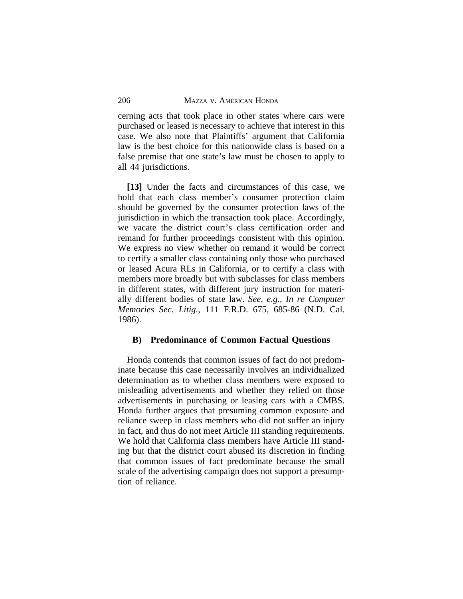cerning acts that took place in other states where cars were purchased or leased is necessary to achieve that interest in this case. We also note that Plaintiffs' argument that California law is the best choice for this nationwide class is based on a false premise that one state's law must be chosen to apply to all 44 jurisdictions.

**[13]** Under the facts and circumstances of this case, we hold that each class member's consumer protection claim should be governed by the consumer protection laws of the jurisdiction in which the transaction took place. Accordingly, we vacate the district court's class certification order and remand for further proceedings consistent with this opinion. We express no view whether on remand it would be correct to certify a smaller class containing only those who purchased or leased Acura RLs in California, or to certify a class with members more broadly but with subclasses for class members in different states, with different jury instruction for materially different bodies of state law. *See, e.g., In re Computer Memories Sec. Litig.*, 111 F.R.D. 675, 685-86 (N.D. Cal. 1986).

#### **B) Predominance of Common Factual Questions**

Honda contends that common issues of fact do not predominate because this case necessarily involves an individualized determination as to whether class members were exposed to misleading advertisements and whether they relied on those advertisements in purchasing or leasing cars with a CMBS. Honda further argues that presuming common exposure and reliance sweep in class members who did not suffer an injury in fact, and thus do not meet Article III standing requirements. We hold that California class members have Article III standing but that the district court abused its discretion in finding that common issues of fact predominate because the small scale of the advertising campaign does not support a presumption of reliance.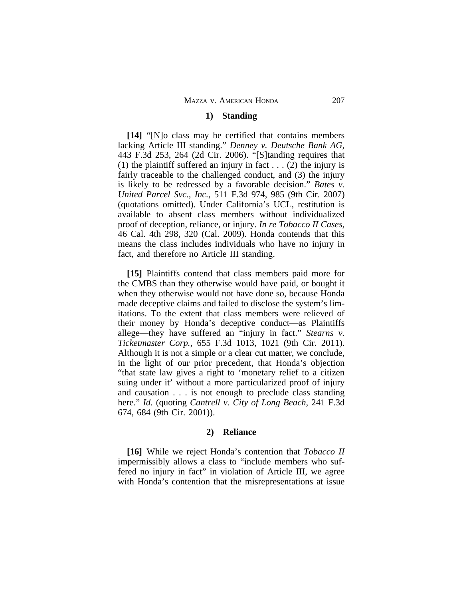#### **1) Standing**

**[14]** "[N]o class may be certified that contains members lacking Article III standing." *Denney v. Deutsche Bank AG*, 443 F.3d 253, 264 (2d Cir. 2006). "[S]tanding requires that (1) the plaintiff suffered an injury in fact  $\dots$  (2) the injury is fairly traceable to the challenged conduct, and (3) the injury is likely to be redressed by a favorable decision." *Bates v. United Parcel Svc., Inc.*, 511 F.3d 974, 985 (9th Cir. 2007) (quotations omitted). Under California's UCL, restitution is available to absent class members without individualized proof of deception, reliance, or injury. *In re Tobacco II Cases,* 46 Cal. 4th 298, 320 (Cal. 2009). Honda contends that this means the class includes individuals who have no injury in fact, and therefore no Article III standing.

**[15]** Plaintiffs contend that class members paid more for the CMBS than they otherwise would have paid, or bought it when they otherwise would not have done so, because Honda made deceptive claims and failed to disclose the system's limitations. To the extent that class members were relieved of their money by Honda's deceptive conduct—as Plaintiffs allege—they have suffered an "injury in fact." *Stearns v. Ticketmaster Corp.*, 655 F.3d 1013, 1021 (9th Cir. 2011). Although it is not a simple or a clear cut matter, we conclude, in the light of our prior precedent, that Honda's objection "that state law gives a right to 'monetary relief to a citizen suing under it' without a more particularized proof of injury and causation . . . is not enough to preclude class standing here." *Id.* (quoting *Cantrell v. City of Long Beach*, 241 F.3d 674, 684 (9th Cir. 2001)).

# **2) Reliance**

**[16]** While we reject Honda's contention that *Tobacco II* impermissibly allows a class to "include members who suffered no injury in fact" in violation of Article III, we agree with Honda's contention that the misrepresentations at issue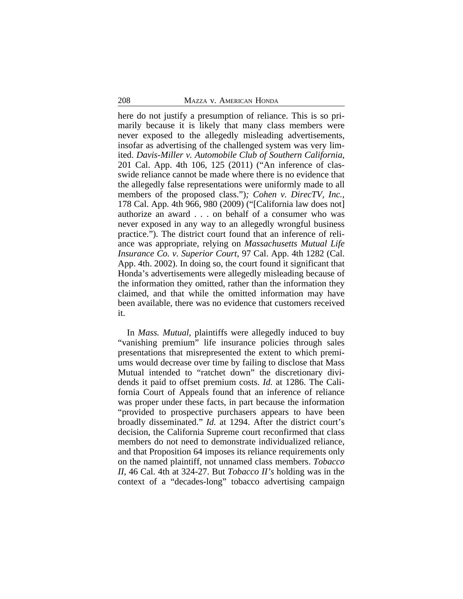here do not justify a presumption of reliance. This is so primarily because it is likely that many class members were never exposed to the allegedly misleading advertisements, insofar as advertising of the challenged system was very limited. *Davis-Miller v. Automobile Club of Southern California*, 201 Cal. App. 4th 106, 125 (2011) ("An inference of classwide reliance cannot be made where there is no evidence that the allegedly false representations were uniformly made to all members of the proposed class.")*; Cohen v. DirecTV, Inc.*, 178 Cal. App. 4th 966, 980 (2009) ("[California law does not] authorize an award . . . on behalf of a consumer who was never exposed in any way to an allegedly wrongful business practice."). The district court found that an inference of reliance was appropriate, relying on *Massachusetts Mutual Life Insurance Co. v. Superior Court*, 97 Cal. App. 4th 1282 (Cal. App. 4th. 2002). In doing so, the court found it significant that Honda's advertisements were allegedly misleading because of the information they omitted, rather than the information they claimed, and that while the omitted information may have been available, there was no evidence that customers received it.

In *Mass. Mutual*, plaintiffs were allegedly induced to buy "vanishing premium" life insurance policies through sales presentations that misrepresented the extent to which premiums would decrease over time by failing to disclose that Mass Mutual intended to "ratchet down" the discretionary dividends it paid to offset premium costs. *Id.* at 1286. The California Court of Appeals found that an inference of reliance was proper under these facts, in part because the information "provided to prospective purchasers appears to have been broadly disseminated." *Id.* at 1294. After the district court's decision, the California Supreme court reconfirmed that class members do not need to demonstrate individualized reliance, and that Proposition 64 imposes its reliance requirements only on the named plaintiff, not unnamed class members. *Tobacco II*, 46 Cal. 4th at 324-27. But *Tobacco II's* holding was in the context of a "decades-long" tobacco advertising campaign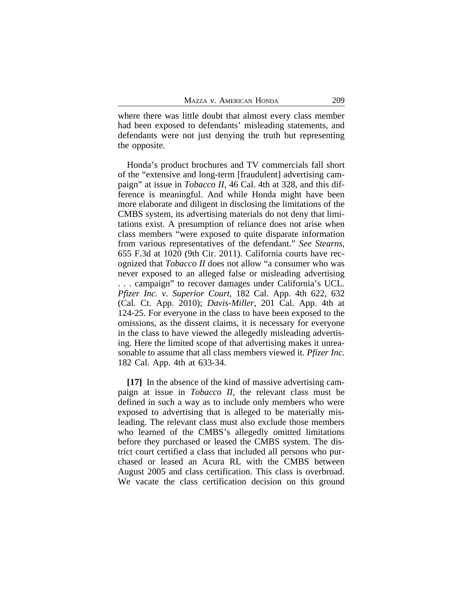where there was little doubt that almost every class member had been exposed to defendants' misleading statements, and defendants were not just denying the truth but representing the opposite.

Honda's product brochures and TV commercials fall short of the "extensive and long-term [fraudulent] advertising campaign" at issue in *Tobacco II*, 46 Cal. 4th at 328, and this difference is meaningful. And while Honda might have been more elaborate and diligent in disclosing the limitations of the CMBS system, its advertising materials do not deny that limitations exist. A presumption of reliance does not arise when class members "were exposed to quite disparate information from various representatives of the defendant." *See Stearns,* 655 F.3d at 1020 (9th Cir. 2011). California courts have recognized that *Tobacco II* does not allow "a consumer who was never exposed to an alleged false or misleading advertising . . . campaign" to recover damages under California's UCL. *Pfizer Inc. v. Superior Court*, 182 Cal. App. 4th 622, 632 (Cal. Ct. App. 2010); *Davis-Miller*, 201 Cal. App. 4th at 124-25. For everyone in the class to have been exposed to the omissions, as the dissent claims, it is necessary for everyone in the class to have viewed the allegedly misleading advertising. Here the limited scope of that advertising makes it unreasonable to assume that all class members viewed it. *Pfizer Inc.* 182 Cal. App. 4th at 633-34.

**[17]** In the absence of the kind of massive advertising campaign at issue in *Tobacco II*, the relevant class must be defined in such a way as to include only members who were exposed to advertising that is alleged to be materially misleading. The relevant class must also exclude those members who learned of the CMBS's allegedly omitted limitations before they purchased or leased the CMBS system. The district court certified a class that included all persons who purchased or leased an Acura RL with the CMBS between August 2005 and class certification. This class is overbroad. We vacate the class certification decision on this ground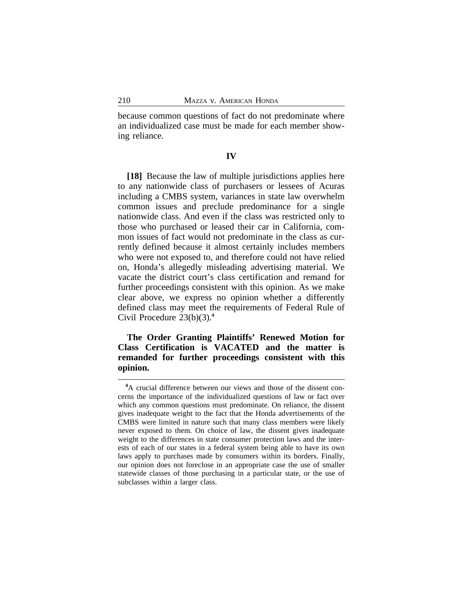because common questions of fact do not predominate where an individualized case must be made for each member showing reliance.

### **IV**

**[18]** Because the law of multiple jurisdictions applies here to any nationwide class of purchasers or lessees of Acuras including a CMBS system, variances in state law overwhelm common issues and preclude predominance for a single nationwide class. And even if the class was restricted only to those who purchased or leased their car in California, common issues of fact would not predominate in the class as currently defined because it almost certainly includes members who were not exposed to, and therefore could not have relied on, Honda's allegedly misleading advertising material. We vacate the district court's class certification and remand for further proceedings consistent with this opinion. As we make clear above, we express no opinion whether a differently defined class may meet the requirements of Federal Rule of Civil Procedure 23(b)(3).**<sup>4</sup>**

**The Order Granting Plaintiffs' Renewed Motion for Class Certification is VACATED and the matter is remanded for further proceedings consistent with this opinion.**

**<sup>4</sup>**A crucial difference between our views and those of the dissent concerns the importance of the individualized questions of law or fact over which any common questions must predominate. On reliance, the dissent gives inadequate weight to the fact that the Honda advertisements of the CMBS were limited in nature such that many class members were likely never exposed to them. On choice of law, the dissent gives inadequate weight to the differences in state consumer protection laws and the interests of each of our states in a federal system being able to have its own laws apply to purchases made by consumers within its borders. Finally, our opinion does not foreclose in an appropriate case the use of smaller statewide classes of those purchasing in a particular state, or the use of subclasses within a larger class.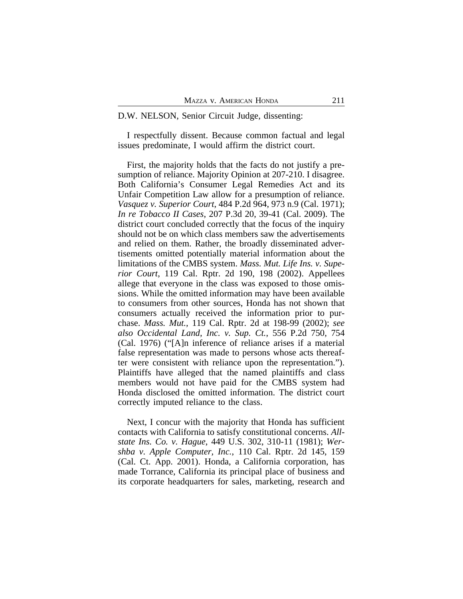#### D.W. NELSON, Senior Circuit Judge, dissenting:

I respectfully dissent. Because common factual and legal issues predominate, I would affirm the district court.

First, the majority holds that the facts do not justify a presumption of reliance. Majority Opinion at 207-210. I disagree. Both California's Consumer Legal Remedies Act and its Unfair Competition Law allow for a presumption of reliance. *Vasquez v. Superior Court*, 484 P.2d 964, 973 n.9 (Cal. 1971); *In re Tobacco II Cases*, 207 P.3d 20, 39-41 (Cal. 2009). The district court concluded correctly that the focus of the inquiry should not be on which class members saw the advertisements and relied on them. Rather, the broadly disseminated advertisements omitted potentially material information about the limitations of the CMBS system. *Mass. Mut. Life Ins. v. Superior Court*, 119 Cal. Rptr. 2d 190, 198 (2002). Appellees allege that everyone in the class was exposed to those omissions. While the omitted information may have been available to consumers from other sources, Honda has not shown that consumers actually received the information prior to purchase. *Mass. Mut.,* 119 Cal. Rptr. 2d at 198-99 (2002); *see also Occidental Land, Inc. v. Sup. Ct.*, 556 P.2d 750, 754 (Cal. 1976) ("[A]n inference of reliance arises if a material false representation was made to persons whose acts thereafter were consistent with reliance upon the representation."). Plaintiffs have alleged that the named plaintiffs and class members would not have paid for the CMBS system had Honda disclosed the omitted information. The district court correctly imputed reliance to the class.

Next, I concur with the majority that Honda has sufficient contacts with California to satisfy constitutional concerns. *Allstate Ins. Co. v. Hague*, 449 U.S. 302, 310-11 (1981); *Wershba v. Apple Computer, Inc.*, 110 Cal. Rptr. 2d 145, 159 (Cal. Ct. App. 2001). Honda, a California corporation, has made Torrance, California its principal place of business and its corporate headquarters for sales, marketing, research and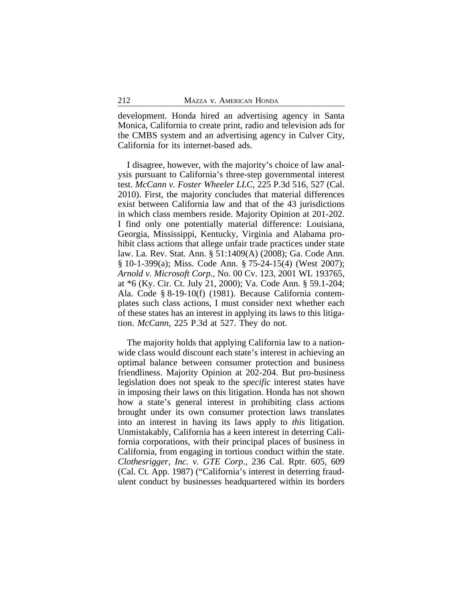development. Honda hired an advertising agency in Santa Monica, California to create print, radio and television ads for the CMBS system and an advertising agency in Culver City, California for its internet-based ads.

I disagree, however, with the majority's choice of law analysis pursuant to California's three-step governmental interest test. *McCann v. Foster Wheeler LLC*, 225 P.3d 516, 527 (Cal. 2010). First, the majority concludes that material differences exist between California law and that of the 43 jurisdictions in which class members reside. Majority Opinion at 201-202. I find only one potentially material difference: Louisiana, Georgia, Mississippi, Kentucky, Virginia and Alabama prohibit class actions that allege unfair trade practices under state law. La. Rev. Stat. Ann. § 51:1409(A) (2008); Ga. Code Ann. § 10-1-399(a); Miss. Code Ann. § 75-24-15(4) (West 2007); *Arnold v. Microsoft Corp.*, No. 00 Cv. 123, 2001 WL 193765, at \*6 (Ky. Cir. Ct. July 21, 2000); Va. Code Ann. § 59.1-204; Ala. Code § 8-19-10(f) (1981). Because California contemplates such class actions, I must consider next whether each of these states has an interest in applying its laws to this litigation. *McCann*, 225 P.3d at 527. They do not.

The majority holds that applying California law to a nationwide class would discount each state's interest in achieving an optimal balance between consumer protection and business friendliness. Majority Opinion at 202-204. But pro-business legislation does not speak to the *specific* interest states have in imposing their laws on this litigation. Honda has not shown how a state's general interest in prohibiting class actions brought under its own consumer protection laws translates into an interest in having its laws apply to *this* litigation. Unmistakably, California has a keen interest in deterring California corporations, with their principal places of business in California, from engaging in tortious conduct within the state. *Clothesrigger, Inc. v. GTE Corp.*, 236 Cal. Rptr. 605, 609 (Cal. Ct. App. 1987) ("California's interest in deterring fraudulent conduct by businesses headquartered within its borders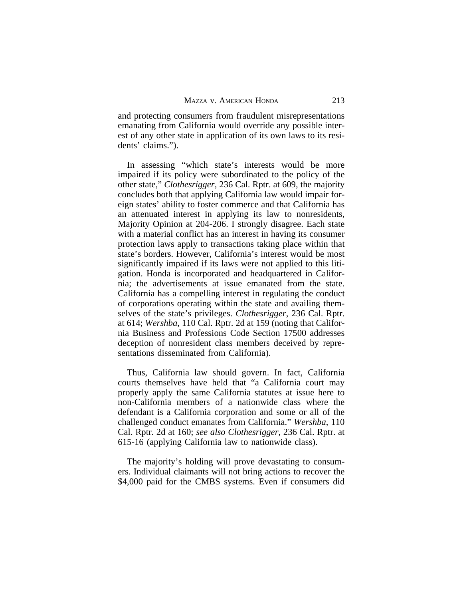and protecting consumers from fraudulent misrepresentations emanating from California would override any possible interest of any other state in application of its own laws to its residents' claims.").

In assessing "which state's interests would be more impaired if its policy were subordinated to the policy of the other state," *Clothesrigger*, 236 Cal. Rptr. at 609, the majority concludes both that applying California law would impair foreign states' ability to foster commerce and that California has an attenuated interest in applying its law to nonresidents, Majority Opinion at 204-206. I strongly disagree. Each state with a material conflict has an interest in having its consumer protection laws apply to transactions taking place within that state's borders. However, California's interest would be most significantly impaired if its laws were not applied to this litigation. Honda is incorporated and headquartered in California; the advertisements at issue emanated from the state. California has a compelling interest in regulating the conduct of corporations operating within the state and availing themselves of the state's privileges. *Clothesrigger*, 236 Cal. Rptr. at 614; *Wershba*, 110 Cal. Rptr. 2d at 159 (noting that California Business and Professions Code Section 17500 addresses deception of nonresident class members deceived by representations disseminated from California).

Thus, California law should govern. In fact, California courts themselves have held that "a California court may properly apply the same California statutes at issue here to non-California members of a nationwide class where the defendant is a California corporation and some or all of the challenged conduct emanates from California." *Wershba*, 110 Cal. Rptr. 2d at 160; *see also Clothesrigger*, 236 Cal. Rptr. at 615-16 (applying California law to nationwide class).

The majority's holding will prove devastating to consumers. Individual claimants will not bring actions to recover the \$4,000 paid for the CMBS systems. Even if consumers did